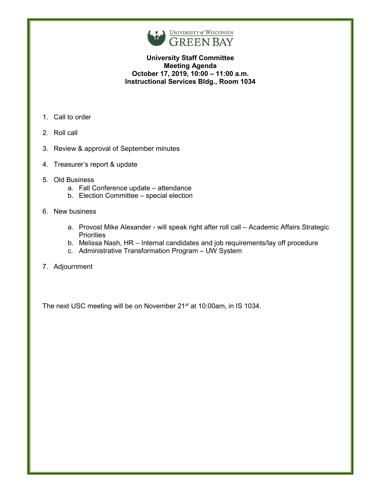

# **University Staff Committee Meeting Agenda October 17, 2019, 10:00 – 11:00 a.m. Instructional Services Bldg., Room 1034**

- 1. Call to order
- 2. Roll call
- 3. Review & approval of September minutes
- 4. Treasurer's report & update
- 5. Old Business
	- a. Fall Conference update attendance
	- b. Election Committee special election
- 6. New business
	- a. Provost Mike Alexander will speak right after roll call Academic Affairs Strategic **Priorities**
	- b. Melissa Nash, HR Internal candidates and job requirements/lay off procedure
	- c. Administrative Transformation Program UW System
- 7. Adjournment

The next USC meeting will be on November 21<sup>st</sup> at 10:00am, in IS 1034.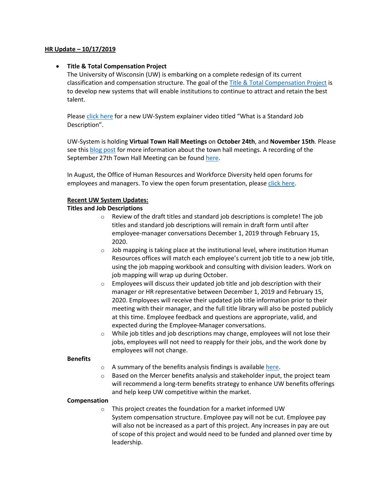### **HR Update – 10/17/2019**

### • **Title & Total Compensation Project**

The University of Wisconsin (UW) is embarking on a complete redesign of its current classification and compensation structure. The goal of the [Title & Total Compensation Project](https://www.wisconsin.edu/ohrwd/title-and-total-compensation-study/) is to develop new systems that will enable institutions to continue to attract and retain the best talent.

Please [click here](https://youtu.be/LWX128Q76TQ) for a new UW-System explainer video titled "What is a Standard Job Description".

UW-System is holding **Virtual Town Hall Meetings** on **October 24th**, and **November 15th**. Please see thi[s blog post](https://blog.uwgb.edu/hr/2019/09/title-total-compensation-project-virtual-town-hall-meetings/) for more information about the town hall meetings. A recording of the September 27th Town Hall Meeting can be found [here.](https://livestream.wisline.uwex.edu/TitleandTotalCompensationVirtualTownHallMeeting)

In August, the Office of Human Resources and Workforce Diversity held open forums for employees and managers. To view the open forum presentation, please [click here.](http://www.uwgb.edu/UWGBCMS/media/hr/files/August-2019-TTC-Forum-Presentation.pdf)

#### **Recent UW System Updates:**

### **Titles and Job Descriptions**

- $\circ$  Review of the draft titles and standard job descriptions is complete! The job titles and standard job descriptions will remain in draft form until after employee-manager conversations December 1, 2019 through February 15, 2020.
- o Job mapping is taking place at the institutional level, where institution Human Resources offices will match each employee's current job title to a new job title, using the job mapping workbook and consulting with division leaders. Work on job mapping will wrap up during October.
- o Employees will discuss their updated job title and job description with their manager or HR representative between December 1, 2019 and February 15, 2020. Employees will receive their updated job title information prior to their meeting with their manager, and the full title library will also be posted publicly at this time. Employee feedback and questions are appropriate, valid, and expected during the Employee-Manager conversations.
- $\circ$  While job titles and job descriptions may change, employees will not lose their jobs, employees will not need to reapply for their jobs, and the work done by employees will not change.

#### **Benefits**

- $\circ$  A summary of the benefits analysis findings is available [here.](https://www.wisconsin.edu/ohrwd/title-and-total-compensation-study/total-compensation-benefits/#benefits-value-analysis-preliminary-findings)
- $\circ$  Based on the Mercer benefits analysis and stakeholder input, the project team will recommend a long-term benefits strategy to enhance UW benefits offerings and help keep UW competitive within the market.

#### **Compensation**

o This project creates the foundation for a market informed UW System compensation structure. Employee pay will not be cut. Employee pay will also not be increased as a part of this project. Any increases in pay are out of scope of this project and would need to be funded and planned over time by leadership.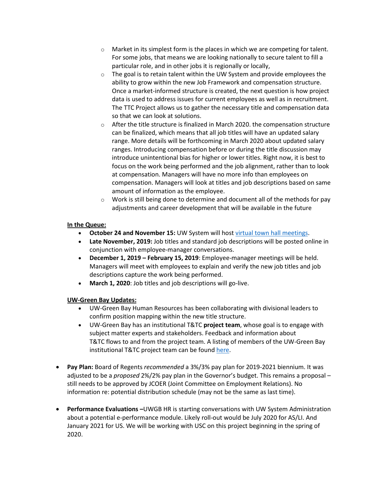- $\circ$  Market in its simplest form is the places in which we are competing for talent. For some jobs, that means we are looking nationally to secure talent to fill a particular role, and in other jobs it is regionally or locally,
- $\circ$  The goal is to retain talent within the UW System and provide employees the ability to grow within the new Job Framework and compensation structure. Once a market-informed structure is created, the next question is how project data is used to address issues for current employees as well as in recruitment. The TTC Project allows us to gather the necessary title and compensation data so that we can look at solutions.
- $\circ$  After the title structure is finalized in March 2020. the compensation structure can be finalized, which means that all job titles will have an updated salary range. More details will be forthcoming in March 2020 about updated salary ranges. Introducing compensation before or during the title discussion may introduce unintentional bias for higher or lower titles. Right now, it is best to focus on the work being performed and the job alignment, rather than to look at compensation. Managers will have no more info than employees on compensation. Managers will look at titles and job descriptions based on same amount of information as the employee.
- $\circ$  Work is still being done to determine and document all of the methods for pay adjustments and career development that will be available in the future

## **In the Queue:**

- **October 24 and November 15:** UW System will hos[t virtual town hall meetings.](https://blog.uwgb.edu/hr/2019/09/title-total-compensation-project-virtual-town-hall-meetings/)
- **Late November, 2019:** Job titles and standard job descriptions will be posted online in conjunction with employee-manager conversations.
- **December 1, 2019 – February 15, 2019**: Employee-manager meetings will be held. Managers will meet with employees to explain and verify the new job titles and job descriptions capture the work being performed.
- **March 1, 2020**: Job titles and job descriptions will go-live.

### **UW-Green Bay Updates:**

- UW-Green Bay Human Resources has been collaborating with divisional leaders to confirm position mapping within the new title structure.
- UW-Green Bay has an institutional T&TC **project team**, whose goal is to engage with subject matter experts and stakeholders. Feedback and information about T&TC flows to and from the project team. A listing of members of the UW-Green Bay institutional T&TC project team can be found [here.](https://www.wisconsin.edu/ohrwd/title-and-total-compensation-study/uw-system-project-structure/#uw-green-bay)
- **Pay Plan:** Board of Regents *recommended* a 3%/3% pay plan for 2019-2021 biennium. It was adjusted to be a *proposed* 2%/2% pay plan in the Governor's budget. This remains a proposal – still needs to be approved by JCOER (Joint Committee on Employment Relations). No information re: potential distribution schedule (may not be the same as last time).
- **Performance Evaluations –**UWGB HR is starting conversations with UW System Administration about a potential e-performance module. Likely roll-out would be July 2020 for AS/LI. And January 2021 for US. We will be working with USC on this project beginning in the spring of 2020.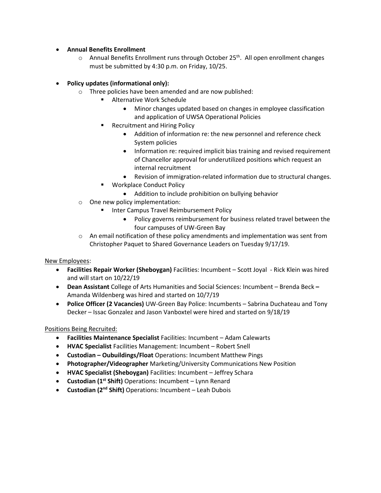## • **Annual Benefits Enrollment**

 $\circ$  Annual Benefits Enrollment runs through October 25<sup>th</sup>. All open enrollment changes must be submitted by 4:30 p.m. on Friday, 10/25.

# • **Policy updates (informational only):**

- o Three policies have been amended and are now published:
	- **Alternative Work Schedule** 
		- Minor changes updated based on changes in employee classification and application of UWSA Operational Policies
	- Recruitment and Hiring Policy
		- Addition of information re: the new personnel and reference check System policies
		- Information re: required implicit bias training and revised requirement of Chancellor approval for underutilized positions which request an internal recruitment
		- Revision of immigration-related information due to structural changes.
	- Workplace Conduct Policy
		- Addition to include prohibition on bullying behavior
- o One new policy implementation:
	- **Inter Campus Travel Reimbursement Policy** 
		- Policy governs reimbursement for business related travel between the four campuses of UW-Green Bay
- $\circ$  An email notification of these policy amendments and implementation was sent from Christopher Paquet to Shared Governance Leaders on Tuesday 9/17/19.

# New Employees:

- **Facilities Repair Worker (Sheboygan)** Facilities: Incumbent Scott Joyal Rick Klein was hired and will start on 10/22/19
- **Dean Assistant** College of Arts Humanities and Social Sciences: Incumbent Brenda Beck **–** Amanda Wildenberg was hired and started on 10/7/19
- **Police Officer (2 Vacancies)** UW-Green Bay Police: Incumbents Sabrina Duchateau and Tony Decker – Issac Gonzalez and Jason Vanboxtel were hired and started on 9/18/19

# Positions Being Recruited:

- **Facilities Maintenance Specialist** Facilities: Incumbent Adam Calewarts
- **HVAC Specialist** Facilities Management: Incumbent Robert Snell
- **Custodian – Oubuildings/Float** Operations: Incumbent Matthew Pings
- **Photographer/Videographer** Marketing/University Communications New Position
- **HVAC Specialist (Sheboygan)** Facilities: Incumbent Jeffrey Schara
- **Custodian (1st Shift)** Operations: Incumbent Lynn Renard
- **Custodian (2nd Shift)** Operations: Incumbent Leah Dubois